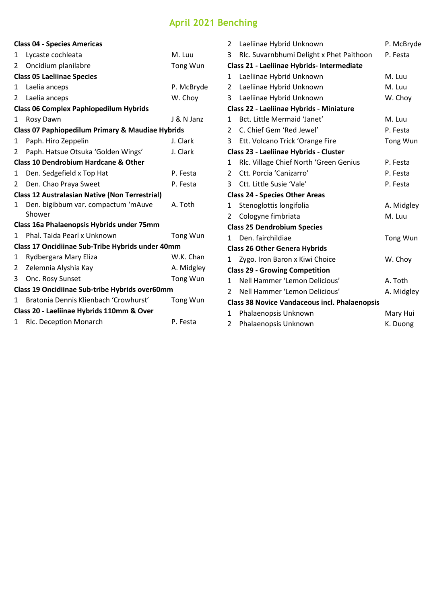## **April 2021 Benching**

|                                                  | <b>Class 04 - Species Americas</b>                          |            |  |  |  |
|--------------------------------------------------|-------------------------------------------------------------|------------|--|--|--|
| 1                                                | Lycaste cochleata                                           | M. Luu     |  |  |  |
| 2                                                | Oncidium planilabre                                         | Tong Wun   |  |  |  |
| <b>Class 05 Laeliinae Species</b>                |                                                             |            |  |  |  |
| 1                                                | Laelia anceps                                               | P. McBryde |  |  |  |
| 2                                                | Laelia anceps                                               | W. Choy    |  |  |  |
| <b>Class 06 Complex Paphiopedilum Hybrids</b>    |                                                             |            |  |  |  |
| 1                                                | Rosy Dawn                                                   | J & N Janz |  |  |  |
|                                                  | <b>Class 07 Paphiopedilum Primary &amp; Maudiae Hybrids</b> |            |  |  |  |
| 1                                                | Paph. Hiro Zeppelin                                         | J. Clark   |  |  |  |
| 2                                                | Paph. Hatsue Otsuka 'Golden Wings'                          | J. Clark   |  |  |  |
| <b>Class 10 Dendrobium Hardcane &amp; Other</b>  |                                                             |            |  |  |  |
| 1                                                | Den. Sedgefield x Top Hat                                   | P. Festa   |  |  |  |
| 2                                                | Den. Chao Praya Sweet                                       | P. Festa   |  |  |  |
|                                                  | <b>Class 12 Australasian Native (Non Terrestrial)</b>       |            |  |  |  |
| 1                                                | Den. bigibbum var. compactum 'mAuve<br>Shower               | A. Toth    |  |  |  |
| Class 16a Phalaenopsis Hybrids under 75mm        |                                                             |            |  |  |  |
| 1                                                | Phal. Taida Pearl x Unknown                                 | Tong Wun   |  |  |  |
| Class 17 Oncidiinae Sub-Tribe Hybrids under 40mm |                                                             |            |  |  |  |
| 1                                                | Rydbergara Mary Eliza                                       | W.K. Chan  |  |  |  |
| 2                                                | Zelemnia Alyshia Kay                                        | A. Midgley |  |  |  |
| 3                                                | Onc. Rosy Sunset                                            | Tong Wun   |  |  |  |
| Class 19 Oncidiinae Sub-tribe Hybrids over60mm   |                                                             |            |  |  |  |
| 1                                                | Bratonia Dennis Klienbach 'Crowhurst'                       | Tong Wun   |  |  |  |
| Class 20 - Laeliinae Hybrids 110mm & Over        |                                                             |            |  |  |  |
| 1                                                | Rlc. Deception Monarch                                      | P. Festa   |  |  |  |
|                                                  |                                                             |            |  |  |  |

| 2                                                    | Laeliinae Hybrid Unknown                 | P. McBryde |  |  |  |
|------------------------------------------------------|------------------------------------------|------------|--|--|--|
| 3                                                    | Rlc. Suvarnbhumi Delight x Phet Paithoon | P. Festa   |  |  |  |
| Class 21 - Laeliinae Hybrids- Intermediate           |                                          |            |  |  |  |
| $\mathbf{1}$                                         | Laeliinae Hybrid Unknown                 | M. Luu     |  |  |  |
| 2                                                    | Laeliinae Hybrid Unknown                 | M. Luu     |  |  |  |
| 3                                                    | Laeliinae Hybrid Unknown                 | W. Choy    |  |  |  |
| Class 22 - Laeliinae Hybrids - Miniature             |                                          |            |  |  |  |
| $\mathbf{1}$                                         | Bct. Little Mermaid 'Janet'              | M. Luu     |  |  |  |
| $\overline{2}$                                       | C. Chief Gem 'Red Jewel'                 | P. Festa   |  |  |  |
| 3                                                    | Ett. Volcano Trick 'Orange Fire          | Tong Wun   |  |  |  |
| Class 23 - Laeliinae Hybrids - Cluster               |                                          |            |  |  |  |
| 1                                                    | Rlc. Village Chief North 'Green Genius   | P. Festa   |  |  |  |
| 2                                                    | Ctt. Porcia 'Canizarro'                  | P. Festa   |  |  |  |
| 3                                                    | Ctt. Little Susie 'Vale'                 | P. Festa   |  |  |  |
| <b>Class 24 - Species Other Areas</b>                |                                          |            |  |  |  |
| 1                                                    | Stenoglottis longifolia                  | A. Midgley |  |  |  |
| $\overline{2}$                                       | Cologyne fimbriata                       | M. Luu     |  |  |  |
| <b>Class 25 Dendrobium Species</b>                   |                                          |            |  |  |  |
| 1                                                    | Den, fairchildiae                        | Tong Wun   |  |  |  |
| <b>Class 26 Other Genera Hybrids</b>                 |                                          |            |  |  |  |
| 1                                                    | Zygo. Iron Baron x Kiwi Choice           | W. Choy    |  |  |  |
| <b>Class 29 - Growing Competition</b>                |                                          |            |  |  |  |
| $\mathbf{1}$                                         | Nell Hammer 'Lemon Delicious'            | A. Toth    |  |  |  |
| $\mathcal{P}$                                        | Nell Hammer 'Lemon Delicious'            | A. Midgley |  |  |  |
| <b>Class 38 Novice Vandaceous incl. Phalaenopsis</b> |                                          |            |  |  |  |
| 1                                                    | Phalaenopsis Unknown                     | Mary Hui   |  |  |  |
| $\overline{2}$                                       | Phalaenopsis Unknown                     | K. Duong   |  |  |  |